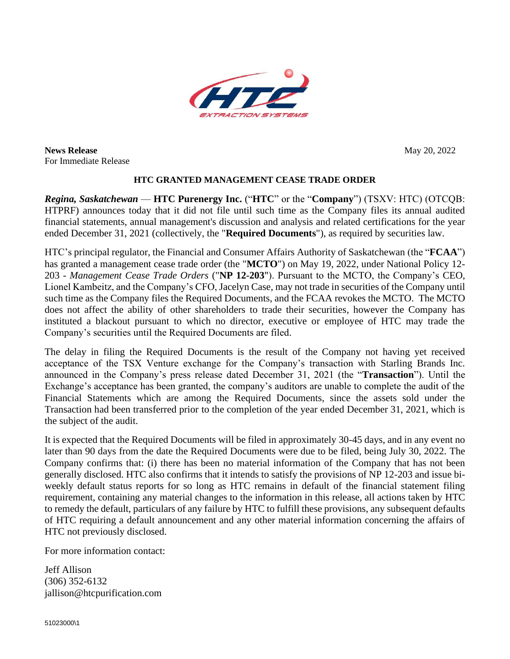

**News Release** May 20, 2022 For Immediate Release

## **HTC GRANTED MANAGEMENT CEASE TRADE ORDER**

*Regina, Saskatchewan* — **HTC Purenergy Inc.** ("**HTC**" or the "**Company**") (TSXV: HTC) (OTCQB: HTPRF) announces today that it did not file until such time as the Company files its annual audited financial statements, annual management's discussion and analysis and related certifications for the year ended December 31, 2021 (collectively, the "**Required Documents**"), as required by securities law.

HTC's principal regulator, the Financial and Consumer Affairs Authority of Saskatchewan (the "**FCAA**") has granted a management cease trade order (the "**MCTO**") on May 19, 2022, under National Policy 12- 203 - *Management Cease Trade Orders* ("**NP 12-203**"). Pursuant to the MCTO, the Company's CEO, Lionel Kambeitz, and the Company's CFO, Jacelyn Case, may not trade in securities of the Company until such time as the Company files the Required Documents, and the FCAA revokes the MCTO. The MCTO does not affect the ability of other shareholders to trade their securities, however the Company has instituted a blackout pursuant to which no director, executive or employee of HTC may trade the Company's securities until the Required Documents are filed.

The delay in filing the Required Documents is the result of the Company not having yet received acceptance of the TSX Venture exchange for the Company's transaction with Starling Brands Inc. announced in the Company's press release dated December 31, 2021 (the "**Transaction**"). Until the Exchange's acceptance has been granted, the company's auditors are unable to complete the audit of the Financial Statements which are among the Required Documents, since the assets sold under the Transaction had been transferred prior to the completion of the year ended December 31, 2021, which is the subject of the audit.

It is expected that the Required Documents will be filed in approximately 30-45 days, and in any event no later than 90 days from the date the Required Documents were due to be filed, being July 30, 2022. The Company confirms that: (i) there has been no material information of the Company that has not been generally disclosed. HTC also confirms that it intends to satisfy the provisions of NP 12-203 and issue biweekly default status reports for so long as HTC remains in default of the financial statement filing requirement, containing any material changes to the information in this release, all actions taken by HTC to remedy the default, particulars of any failure by HTC to fulfill these provisions, any subsequent defaults of HTC requiring a default announcement and any other material information concerning the affairs of HTC not previously disclosed.

For more information contact:

Jeff Allison (306) 352-6132 jallison@htcpurification.com